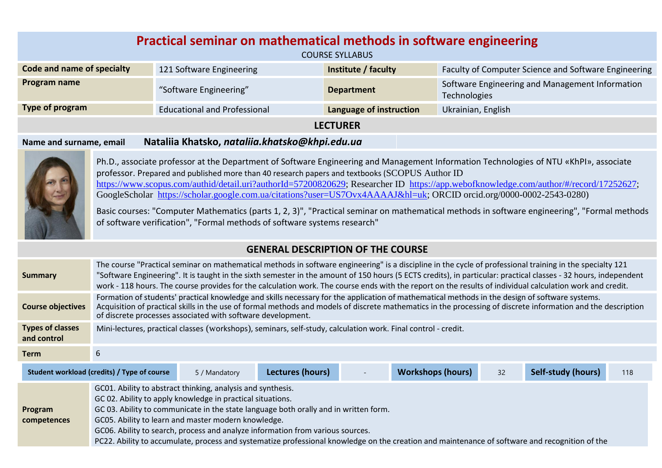| Practical seminar on mathematical methods in software engineering<br><b>COURSE SYLLABUS</b> |                                     |                         |                                                                 |  |  |
|---------------------------------------------------------------------------------------------|-------------------------------------|-------------------------|-----------------------------------------------------------------|--|--|
| Code and name of specialty                                                                  | 121 Software Engineering            | Institute / faculty     | Faculty of Computer Science and Software Engineering            |  |  |
| Program name                                                                                | "Software Engineering"              | <b>Department</b>       | Software Engineering and Management Information<br>Technologies |  |  |
| Type of program                                                                             | <b>Educational and Professional</b> | Language of instruction | Ukrainian, English                                              |  |  |
| <b>LECTURER</b>                                                                             |                                     |                         |                                                                 |  |  |

## **Name and surname, email Nataliia Khatsko,** *nataliia.khatsko@khpi.edu.ua*



Ph.D., associate professor at the Department of Software Engineering and Management Information Technologies of NTU «KhPI», associate professor. Prepared and published more than 40 research papers and textbooks (SCOPUS Author ID [https://www.scopus.com/authid/detail.uri?authorId=57200820629;](https://www.scopus.com/authid/detail.uri?authorId=57200820629) Researcher ID [https://app.webofknowledge.com/author/#/record/17252627;](https://app.webofknowledge.com/author/#/record/17252627) GoogleScholar [https://scholar.google.com.ua/citations?user=US7Ovx4AAAAJ&hl=uk;](https://scholar.google.com.ua/citations?user=US7Ovx4AAAAJ&hl=uk) ORCID orcid.org/0000-0002-2543-0280)

Basic courses: "Computer Mathematics (parts 1, 2, 3)", "Practical seminar on mathematical methods in software engineering", "Formal methods of software verification", "Formal methods of software systems research"

## **GENERAL DESCRIPTION OF THE COURSE**

| <b>Summary</b>                         | The course "Practical seminar on mathematical methods in software engineering" is a discipline in the cycle of professional training in the specialty 121<br>"Software Engineering". It is taught in the sixth semester in the amount of 150 hours (5 ECTS credits), in particular: practical classes - 32 hours, independent<br>work - 118 hours. The course provides for the calculation work. The course ends with the report on the results of individual calculation work and credit. |               |                  |  |                          |    |                    |     |
|----------------------------------------|--------------------------------------------------------------------------------------------------------------------------------------------------------------------------------------------------------------------------------------------------------------------------------------------------------------------------------------------------------------------------------------------------------------------------------------------------------------------------------------------|---------------|------------------|--|--------------------------|----|--------------------|-----|
| <b>Course objectives</b>               | Formation of students' practical knowledge and skills necessary for the application of mathematical methods in the design of software systems.<br>Acquisition of practical skills in the use of formal methods and models of discrete mathematics in the processing of discrete information and the description<br>of discrete processes associated with software development.                                                                                                             |               |                  |  |                          |    |                    |     |
| <b>Types of classes</b><br>and control | Mini-lectures, practical classes (workshops), seminars, self-study, calculation work. Final control - credit.                                                                                                                                                                                                                                                                                                                                                                              |               |                  |  |                          |    |                    |     |
| <b>Term</b>                            |                                                                                                                                                                                                                                                                                                                                                                                                                                                                                            |               |                  |  |                          |    |                    |     |
|                                        | Student workload (credits) / Type of course                                                                                                                                                                                                                                                                                                                                                                                                                                                | 5 / Mandatory | Lectures (hours) |  | <b>Workshops (hours)</b> | 32 | Self-study (hours) | 118 |
|                                        | GC01. Ability to abstract thinking, analysis and synthesis.<br>GC 02. Ability to apply knowledge in practical situations.                                                                                                                                                                                                                                                                                                                                                                  |               |                  |  |                          |    |                    |     |

**Program**  GC 03. Ability to communicate in the state language both orally and in written form.

**competences** GC05. Ability to learn and master modern knowledge.

GC06. Ability to search, process and analyze information from various sources.

PC22. Ability to accumulate, process and systematize professional knowledge on the creation and maintenance of software and recognition of the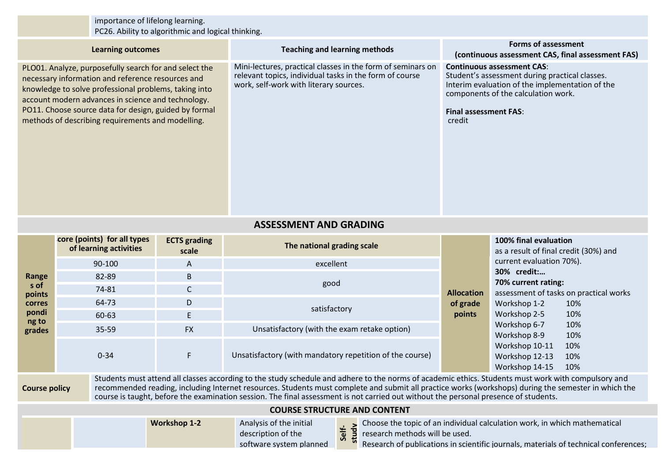| importance of lifelong learning.<br>PC26. Ability to algorithmic and logical thinking.                                                                                                                                                                                                                                                                                                                                                                                      |                                                                                                                                                                                                                                                                                                                                          |                              |                                                                                                                                                                  |                                                                                                                                                                                                                         |                                                                      |  |
|-----------------------------------------------------------------------------------------------------------------------------------------------------------------------------------------------------------------------------------------------------------------------------------------------------------------------------------------------------------------------------------------------------------------------------------------------------------------------------|------------------------------------------------------------------------------------------------------------------------------------------------------------------------------------------------------------------------------------------------------------------------------------------------------------------------------------------|------------------------------|------------------------------------------------------------------------------------------------------------------------------------------------------------------|-------------------------------------------------------------------------------------------------------------------------------------------------------------------------------------------------------------------------|----------------------------------------------------------------------|--|
|                                                                                                                                                                                                                                                                                                                                                                                                                                                                             | <b>Learning outcomes</b>                                                                                                                                                                                                                                                                                                                 |                              | <b>Teaching and learning methods</b>                                                                                                                             | <b>Forms of assessment</b><br>(continuous assessment CAS, final assessment FAS)                                                                                                                                         |                                                                      |  |
|                                                                                                                                                                                                                                                                                                                                                                                                                                                                             | PLO01. Analyze, purposefully search for and select the<br>necessary information and reference resources and<br>knowledge to solve professional problems, taking into<br>account modern advances in science and technology.<br>PO11. Choose source data for design, guided by formal<br>methods of describing requirements and modelling. |                              | Mini-lectures, practical classes in the form of seminars on<br>relevant topics, individual tasks in the form of course<br>work, self-work with literary sources. | <b>Continuous assessment CAS:</b><br>Student's assessment during practical classes.<br>Interim evaluation of the implementation of the<br>components of the calculation work.<br><b>Final assessment FAS:</b><br>credit |                                                                      |  |
| <b>ASSESSMENT AND GRADING</b>                                                                                                                                                                                                                                                                                                                                                                                                                                               |                                                                                                                                                                                                                                                                                                                                          |                              |                                                                                                                                                                  |                                                                                                                                                                                                                         |                                                                      |  |
|                                                                                                                                                                                                                                                                                                                                                                                                                                                                             | core (points) for all types<br>of learning activities                                                                                                                                                                                                                                                                                    | <b>ECTS</b> grading<br>scale | The national grading scale                                                                                                                                       |                                                                                                                                                                                                                         | 100% final evaluation<br>as a result of final credit (30%) and       |  |
|                                                                                                                                                                                                                                                                                                                                                                                                                                                                             | 90-100                                                                                                                                                                                                                                                                                                                                   | excellent<br>A<br>82-89<br>B |                                                                                                                                                                  |                                                                                                                                                                                                                         | current evaluation 70%).                                             |  |
| Range                                                                                                                                                                                                                                                                                                                                                                                                                                                                       |                                                                                                                                                                                                                                                                                                                                          |                              | good                                                                                                                                                             |                                                                                                                                                                                                                         | 30% credit:<br>70% current rating:                                   |  |
| s of<br>points                                                                                                                                                                                                                                                                                                                                                                                                                                                              | 74-81                                                                                                                                                                                                                                                                                                                                    | $\mathsf{C}$                 |                                                                                                                                                                  | <b>Allocation</b><br>of grade<br>Workshop 1-2                                                                                                                                                                           | assessment of tasks on practical works                               |  |
| <b>corres</b>                                                                                                                                                                                                                                                                                                                                                                                                                                                               | 64-73                                                                                                                                                                                                                                                                                                                                    | D                            | satisfactory                                                                                                                                                     |                                                                                                                                                                                                                         | 10%                                                                  |  |
| pondi<br>ng to                                                                                                                                                                                                                                                                                                                                                                                                                                                              | 60-63                                                                                                                                                                                                                                                                                                                                    | $\mathsf E$                  |                                                                                                                                                                  | points                                                                                                                                                                                                                  | Workshop 2-5<br>10%<br>10%                                           |  |
| grades                                                                                                                                                                                                                                                                                                                                                                                                                                                                      | 35-59                                                                                                                                                                                                                                                                                                                                    | <b>FX</b>                    | Unsatisfactory (with the exam retake option)                                                                                                                     |                                                                                                                                                                                                                         | Workshop 6-7<br>Workshop 8-9<br>10%                                  |  |
|                                                                                                                                                                                                                                                                                                                                                                                                                                                                             | $0 - 34$                                                                                                                                                                                                                                                                                                                                 | F                            | Unsatisfactory (with mandatory repetition of the course)                                                                                                         |                                                                                                                                                                                                                         | Workshop 10-11<br>10%<br>Workshop 12-13<br>10%<br>Workshop 14-15 10% |  |
| Students must attend all classes according to the study schedule and adhere to the norms of academic ethics. Students must work with compulsory and<br>recommended reading, including Internet resources. Students must complete and submit all practice works (workshops) during the semester in which the<br><b>Course policy</b><br>course is taught, before the examination session. The final assessment is not carried out without the personal presence of students. |                                                                                                                                                                                                                                                                                                                                          |                              |                                                                                                                                                                  |                                                                                                                                                                                                                         |                                                                      |  |
|                                                                                                                                                                                                                                                                                                                                                                                                                                                                             |                                                                                                                                                                                                                                                                                                                                          |                              | <b>COURSE STRUCTURE AND CONTENT</b>                                                                                                                              |                                                                                                                                                                                                                         |                                                                      |  |
|                                                                                                                                                                                                                                                                                                                                                                                                                                                                             | <b>Workshop 1-2</b><br>Choose the topic of an individual calculation work, in which mathematical<br>Analysis of the initial<br>study<br>Self-<br>description of the<br>research methods will be used.<br>Research of publications in scientific journals, materials of technical conferences;<br>software system planned                 |                              |                                                                                                                                                                  |                                                                                                                                                                                                                         |                                                                      |  |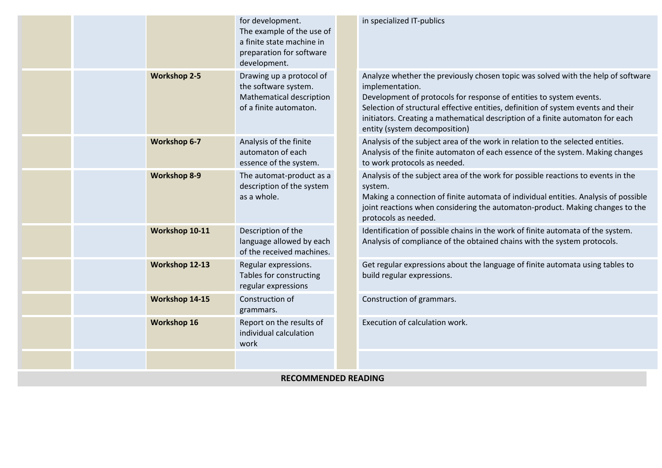|                            |  |                     | for development.<br>The example of the use of<br>a finite state machine in<br>preparation for software<br>development. |  | in specialized IT-publics                                                                                                                                                                                                                                                                                                                                                          |
|----------------------------|--|---------------------|------------------------------------------------------------------------------------------------------------------------|--|------------------------------------------------------------------------------------------------------------------------------------------------------------------------------------------------------------------------------------------------------------------------------------------------------------------------------------------------------------------------------------|
|                            |  | <b>Workshop 2-5</b> | Drawing up a protocol of<br>the software system.<br>Mathematical description<br>of a finite automaton.                 |  | Analyze whether the previously chosen topic was solved with the help of software<br>implementation.<br>Development of protocols for response of entities to system events.<br>Selection of structural effective entities, definition of system events and their<br>initiators. Creating a mathematical description of a finite automaton for each<br>entity (system decomposition) |
|                            |  | <b>Workshop 6-7</b> | Analysis of the finite<br>automaton of each<br>essence of the system.                                                  |  | Analysis of the subject area of the work in relation to the selected entities.<br>Analysis of the finite automaton of each essence of the system. Making changes<br>to work protocols as needed.                                                                                                                                                                                   |
|                            |  | <b>Workshop 8-9</b> | The automat-product as a<br>description of the system<br>as a whole.                                                   |  | Analysis of the subject area of the work for possible reactions to events in the<br>system.<br>Making a connection of finite automata of individual entities. Analysis of possible<br>joint reactions when considering the automaton-product. Making changes to the<br>protocols as needed.                                                                                        |
|                            |  | Workshop 10-11      | Description of the<br>language allowed by each<br>of the received machines.                                            |  | Identification of possible chains in the work of finite automata of the system.<br>Analysis of compliance of the obtained chains with the system protocols.                                                                                                                                                                                                                        |
|                            |  | Workshop 12-13      | Regular expressions.<br>Tables for constructing<br>regular expressions                                                 |  | Get regular expressions about the language of finite automata using tables to<br>build regular expressions.                                                                                                                                                                                                                                                                        |
|                            |  | Workshop 14-15      | Construction of<br>grammars.                                                                                           |  | Construction of grammars.                                                                                                                                                                                                                                                                                                                                                          |
|                            |  | <b>Workshop 16</b>  | Report on the results of<br>individual calculation<br>work                                                             |  | Execution of calculation work.                                                                                                                                                                                                                                                                                                                                                     |
|                            |  |                     |                                                                                                                        |  |                                                                                                                                                                                                                                                                                                                                                                                    |
| <b>RECOMMENDED READING</b> |  |                     |                                                                                                                        |  |                                                                                                                                                                                                                                                                                                                                                                                    |